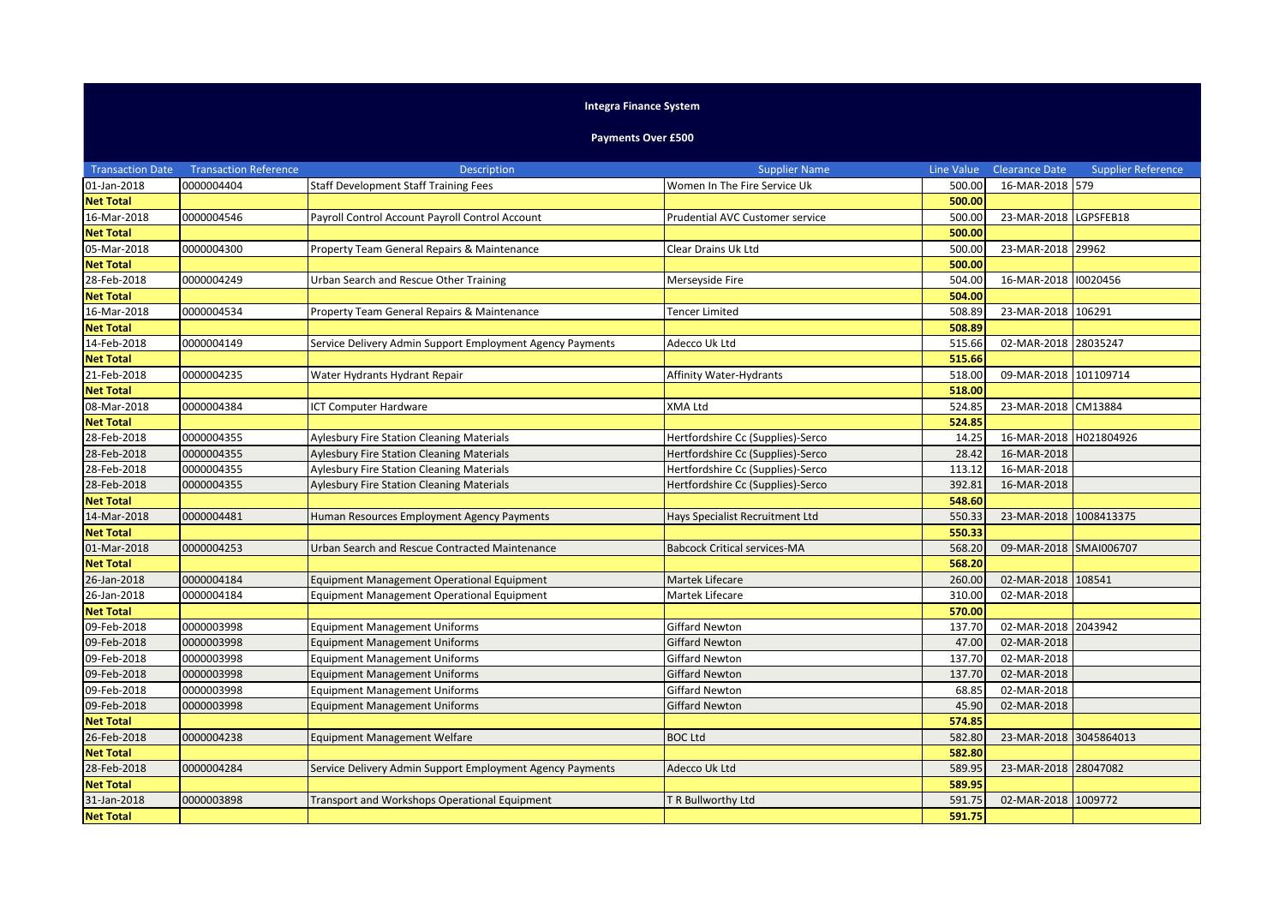## **Integra Finance System**

## **Payments Over £500**

| <b>Transaction Date</b> | <b>Transaction Reference</b> | <b>Description</b>                                        | <b>Supplier Name</b>                | Line Value | <b>Clearance Date</b>  | <b>Supplier Reference</b> |
|-------------------------|------------------------------|-----------------------------------------------------------|-------------------------------------|------------|------------------------|---------------------------|
| 01-Jan-2018             | 0000004404                   | <b>Staff Development Staff Training Fees</b>              | Women In The Fire Service Uk        | 500.00     | 16-MAR-2018 579        |                           |
| <b>Net Total</b>        |                              |                                                           |                                     | 500.00     |                        |                           |
| 16-Mar-2018             | 0000004546                   | Payroll Control Account Payroll Control Account           | Prudential AVC Customer service     | 500.00     | 23-MAR-2018 LGPSFEB18  |                           |
| <b>Net Total</b>        |                              |                                                           |                                     | 500.00     |                        |                           |
| 05-Mar-2018             | 0000004300                   | Property Team General Repairs & Maintenance               | Clear Drains Uk Ltd                 | 500.00     | 23-MAR-2018 29962      |                           |
| <b>Net Total</b>        |                              |                                                           |                                     | 500.00     |                        |                           |
| 28-Feb-2018             | 0000004249                   | Urban Search and Rescue Other Training                    | Merseyside Fire                     | 504.00     | 16-MAR-2018 10020456   |                           |
| <b>Net Total</b>        |                              |                                                           |                                     | 504.00     |                        |                           |
| 16-Mar-2018             | 0000004534                   | Property Team General Repairs & Maintenance               | Tencer Limited                      | 508.89     | 23-MAR-2018 106291     |                           |
| <b>Net Total</b>        |                              |                                                           |                                     | 508.89     |                        |                           |
| 14-Feb-2018             | 0000004149                   | Service Delivery Admin Support Employment Agency Payments | Adecco Uk Ltd                       | 515.66     | 02-MAR-2018 28035247   |                           |
| <b>Net Total</b>        |                              |                                                           |                                     | 515.66     |                        |                           |
| 21-Feb-2018             | 0000004235                   | Water Hydrants Hydrant Repair                             | Affinity Water-Hydrants             | 518.00     | 09-MAR-2018 101109714  |                           |
| <b>Net Total</b>        |                              |                                                           |                                     | 518.00     |                        |                           |
| 08-Mar-2018             | 0000004384                   | <b>ICT Computer Hardware</b>                              | XMA Ltd                             | 524.85     | 23-MAR-2018 CM13884    |                           |
| <b>Net Total</b>        |                              |                                                           |                                     | 524.85     |                        |                           |
| 28-Feb-2018             | 0000004355                   | <b>Aylesbury Fire Station Cleaning Materials</b>          | Hertfordshire Cc (Supplies)-Serco   | 14.25      | 16-MAR-2018 H021804926 |                           |
| 28-Feb-2018             | 0000004355                   | <b>Aylesbury Fire Station Cleaning Materials</b>          | Hertfordshire Cc (Supplies)-Serco   | 28.42      | 16-MAR-2018            |                           |
| 28-Feb-2018             | 0000004355                   | Aylesbury Fire Station Cleaning Materials                 | Hertfordshire Cc (Supplies)-Serco   | 113.12     | 16-MAR-2018            |                           |
| 28-Feb-2018             | 0000004355                   | <b>Aylesbury Fire Station Cleaning Materials</b>          | Hertfordshire Cc (Supplies)-Serco   | 392.81     | 16-MAR-2018            |                           |
| <b>Net Total</b>        |                              |                                                           |                                     | 548.60     |                        |                           |
| 14-Mar-2018             | 0000004481                   | Human Resources Employment Agency Payments                | Hays Specialist Recruitment Ltd     | 550.33     | 23-MAR-2018            | 1008413375                |
| <b>Net Total</b>        |                              |                                                           |                                     | 550.33     |                        |                           |
| 01-Mar-2018             | 0000004253                   | Urban Search and Rescue Contracted Maintenance            | <b>Babcock Critical services-MA</b> | 568.20     | 09-MAR-2018 SMAI006707 |                           |
| <b>Net Total</b>        |                              |                                                           |                                     | 568.20     |                        |                           |
| 26-Jan-2018             | 0000004184                   | Equipment Management Operational Equipment                | Martek Lifecare                     | 260.00     | 02-MAR-2018 108541     |                           |
| 26-Jan-2018             | 0000004184                   | Equipment Management Operational Equipment                | Martek Lifecare                     | 310.00     | 02-MAR-2018            |                           |
| <b>Net Total</b>        |                              |                                                           |                                     | 570.00     |                        |                           |
| 09-Feb-2018             | 0000003998                   | <b>Equipment Management Uniforms</b>                      | <b>Giffard Newton</b>               | 137.70     | 02-MAR-2018            | 2043942                   |
| 09-Feb-2018             | 0000003998                   | <b>Equipment Management Uniforms</b>                      | <b>Giffard Newton</b>               | 47.00      | 02-MAR-2018            |                           |
| 09-Feb-2018             | 0000003998                   | <b>Equipment Management Uniforms</b>                      | Giffard Newton                      | 137.70     | 02-MAR-2018            |                           |
| 09-Feb-2018             | 0000003998                   | <b>Equipment Management Uniforms</b>                      | <b>Giffard Newton</b>               | 137.70     | 02-MAR-2018            |                           |
| 09-Feb-2018             | 0000003998                   | <b>Equipment Management Uniforms</b>                      | Giffard Newton                      | 68.85      | 02-MAR-2018            |                           |
| 09-Feb-2018             | 0000003998                   | <b>Equipment Management Uniforms</b>                      | <b>Giffard Newton</b>               | 45.90      | 02-MAR-2018            |                           |
| <b>Net Total</b>        |                              |                                                           |                                     | 574.85     |                        |                           |
| 26-Feb-2018             | 0000004238                   | <b>Equipment Management Welfare</b>                       | <b>BOC Ltd</b>                      | 582.80     | 23-MAR-2018 3045864013 |                           |
| <b>Net Total</b>        |                              |                                                           |                                     | 582.80     |                        |                           |
| 28-Feb-2018             | 0000004284                   | Service Delivery Admin Support Employment Agency Payments | Adecco Uk Ltd                       | 589.95     | 23-MAR-2018            | 28047082                  |
| <b>Net Total</b>        |                              |                                                           |                                     | 589.95     |                        |                           |
| 31-Jan-2018             | 0000003898                   | Transport and Workshops Operational Equipment             | T R Bullworthy Ltd                  | 591.75     | 02-MAR-2018 1009772    |                           |
| <b>Net Total</b>        |                              |                                                           |                                     | 591.75     |                        |                           |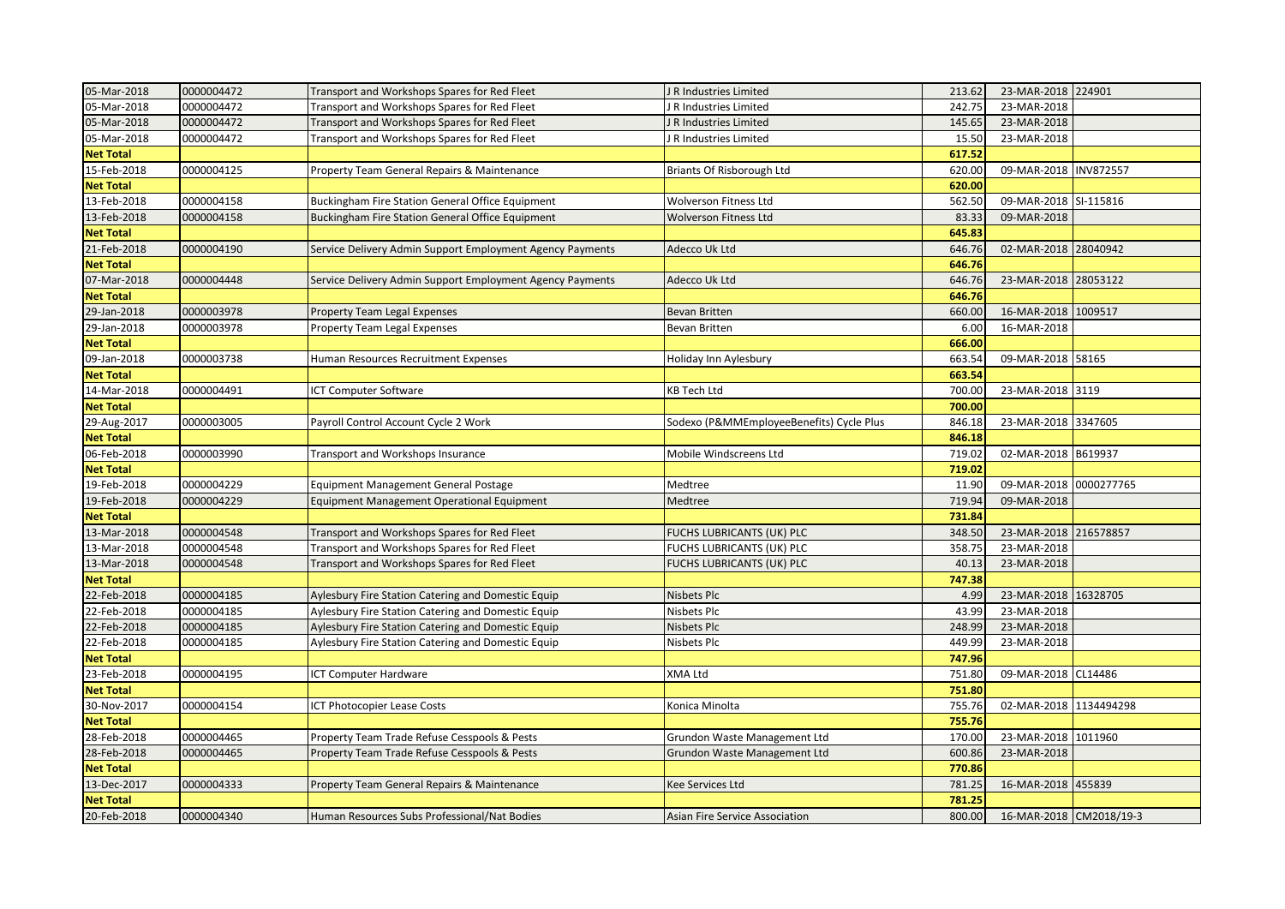| 05-Mar-2018      | 0000004472 | Transport and Workshops Spares for Red Fleet              | R Industries Limited                     | 213.62 | 23-MAR-2018 224901      |          |
|------------------|------------|-----------------------------------------------------------|------------------------------------------|--------|-------------------------|----------|
| 05-Mar-2018      | 0000004472 | Transport and Workshops Spares for Red Fleet              | R Industries Limited                     | 242.75 | 23-MAR-2018             |          |
| 05-Mar-2018      | 0000004472 | Transport and Workshops Spares for Red Fleet              | R Industries Limited                     | 145.65 | 23-MAR-2018             |          |
| 05-Mar-2018      | 0000004472 | Transport and Workshops Spares for Red Fleet              | R Industries Limited                     | 15.50  | 23-MAR-2018             |          |
| <b>Net Total</b> |            |                                                           |                                          | 617.52 |                         |          |
| 15-Feb-2018      | 0000004125 | Property Team General Repairs & Maintenance               | Briants Of Risborough Ltd                | 620.00 | 09-MAR-2018 INV872557   |          |
| <b>Net Total</b> |            |                                                           |                                          | 620.00 |                         |          |
| 13-Feb-2018      | 0000004158 | Buckingham Fire Station General Office Equipment          | Wolverson Fitness Ltd                    | 562.50 | 09-MAR-2018 SI-115816   |          |
| 13-Feb-2018      | 0000004158 | Buckingham Fire Station General Office Equipment          | <b>Wolverson Fitness Ltd</b>             | 83.33  | 09-MAR-2018             |          |
| <b>Net Total</b> |            |                                                           |                                          | 645.83 |                         |          |
| 21-Feb-2018      | 0000004190 | Service Delivery Admin Support Employment Agency Payments | Adecco Uk Ltd                            | 646.76 | 02-MAR-2018 28040942    |          |
| <b>Net Total</b> |            |                                                           |                                          | 646.76 |                         |          |
| 07-Mar-2018      | 0000004448 | Service Delivery Admin Support Employment Agency Payments | Adecco Uk Ltd                            | 646.76 | 23-MAR-2018 28053122    |          |
| <b>Net Total</b> |            |                                                           |                                          | 646.76 |                         |          |
| 29-Jan-2018      | 0000003978 | <b>Property Team Legal Expenses</b>                       | Bevan Britten                            | 660.00 | 16-MAR-2018             | 1009517  |
| 29-Jan-2018      | 0000003978 | Property Team Legal Expenses                              | Bevan Britten                            | 6.00   | 16-MAR-2018             |          |
| <b>Net Total</b> |            |                                                           |                                          | 666.00 |                         |          |
| 09-Jan-2018      | 0000003738 | Human Resources Recruitment Expenses                      | Holiday Inn Aylesbury                    | 663.54 | 09-MAR-2018 58165       |          |
| <b>Net Total</b> |            |                                                           |                                          | 663.54 |                         |          |
| 14-Mar-2018      | 0000004491 | <b>ICT Computer Software</b>                              | <b>KB Tech Ltd</b>                       | 700.00 | 23-MAR-2018 3119        |          |
| <b>Net Total</b> |            |                                                           |                                          | 700.00 |                         |          |
| 29-Aug-2017      | 0000003005 | Payroll Control Account Cycle 2 Work                      | Sodexo (P&MMEmployeeBenefits) Cycle Plus | 846.18 | 23-MAR-2018 3347605     |          |
| <b>Net Total</b> |            |                                                           |                                          | 846.18 |                         |          |
| 06-Feb-2018      | 0000003990 | Transport and Workshops Insurance                         | Mobile Windscreens Ltd                   | 719.02 | 02-MAR-2018 B619937     |          |
| <b>Net Total</b> |            |                                                           |                                          | 719.02 |                         |          |
| 19-Feb-2018      | 0000004229 | <b>Equipment Management General Postage</b>               | Medtree                                  | 11.90  | 09-MAR-2018 0000277765  |          |
| 19-Feb-2018      | 0000004229 | Equipment Management Operational Equipment                | Medtree                                  | 719.94 | 09-MAR-2018             |          |
| <b>Net Total</b> |            |                                                           |                                          | 731.84 |                         |          |
| 13-Mar-2018      | 0000004548 | Transport and Workshops Spares for Red Fleet              | FUCHS LUBRICANTS (UK) PLC                | 348.50 | 23-MAR-2018 216578857   |          |
| 13-Mar-2018      | 0000004548 | Transport and Workshops Spares for Red Fleet              | FUCHS LUBRICANTS (UK) PLC                | 358.75 | 23-MAR-2018             |          |
| 13-Mar-2018      | 0000004548 | Transport and Workshops Spares for Red Fleet              | FUCHS LUBRICANTS (UK) PLC                | 40.13  | 23-MAR-2018             |          |
| <b>Net Total</b> |            |                                                           |                                          | 747.38 |                         |          |
| 22-Feb-2018      | 0000004185 | Aylesbury Fire Station Catering and Domestic Equip        | Nisbets Plc                              | 4.99   | 23-MAR-2018             | 16328705 |
| 22-Feb-2018      | 0000004185 | Aylesbury Fire Station Catering and Domestic Equip        | Nisbets Plc                              | 43.99  | 23-MAR-2018             |          |
| 22-Feb-2018      | 0000004185 | Aylesbury Fire Station Catering and Domestic Equip        | Nisbets Plc                              | 248.99 | 23-MAR-2018             |          |
| 22-Feb-2018      | 0000004185 | Aylesbury Fire Station Catering and Domestic Equip        | Nisbets Plc                              | 449.99 | 23-MAR-2018             |          |
| <b>Net Total</b> |            |                                                           |                                          | 747.96 |                         |          |
| 23-Feb-2018      | 0000004195 | ICT Computer Hardware                                     | XMA Ltd                                  | 751.80 | 09-MAR-2018 CL14486     |          |
| <b>Net Total</b> |            |                                                           |                                          | 751.80 |                         |          |
| 30-Nov-2017      | 0000004154 | ICT Photocopier Lease Costs                               | Konica Minolta                           | 755.76 | 02-MAR-2018 1134494298  |          |
| <b>Net Total</b> |            |                                                           |                                          | 755.76 |                         |          |
| 28-Feb-2018      | 0000004465 | Property Team Trade Refuse Cesspools & Pests              | Grundon Waste Management Ltd             | 170.00 | 23-MAR-2018 1011960     |          |
| 28-Feb-2018      | 0000004465 | Property Team Trade Refuse Cesspools & Pests              | Grundon Waste Management Ltd             | 600.86 | 23-MAR-2018             |          |
| <b>Net Total</b> |            |                                                           |                                          | 770.86 |                         |          |
| 13-Dec-2017      | 0000004333 | Property Team General Repairs & Maintenance               | Kee Services Ltd                         | 781.25 | 16-MAR-2018 455839      |          |
| <b>Net Total</b> |            |                                                           |                                          | 781.25 |                         |          |
| 20-Feb-2018      | 0000004340 | Human Resources Subs Professional/Nat Bodies              | Asian Fire Service Association           | 800.00 | 16-MAR-2018 CM2018/19-3 |          |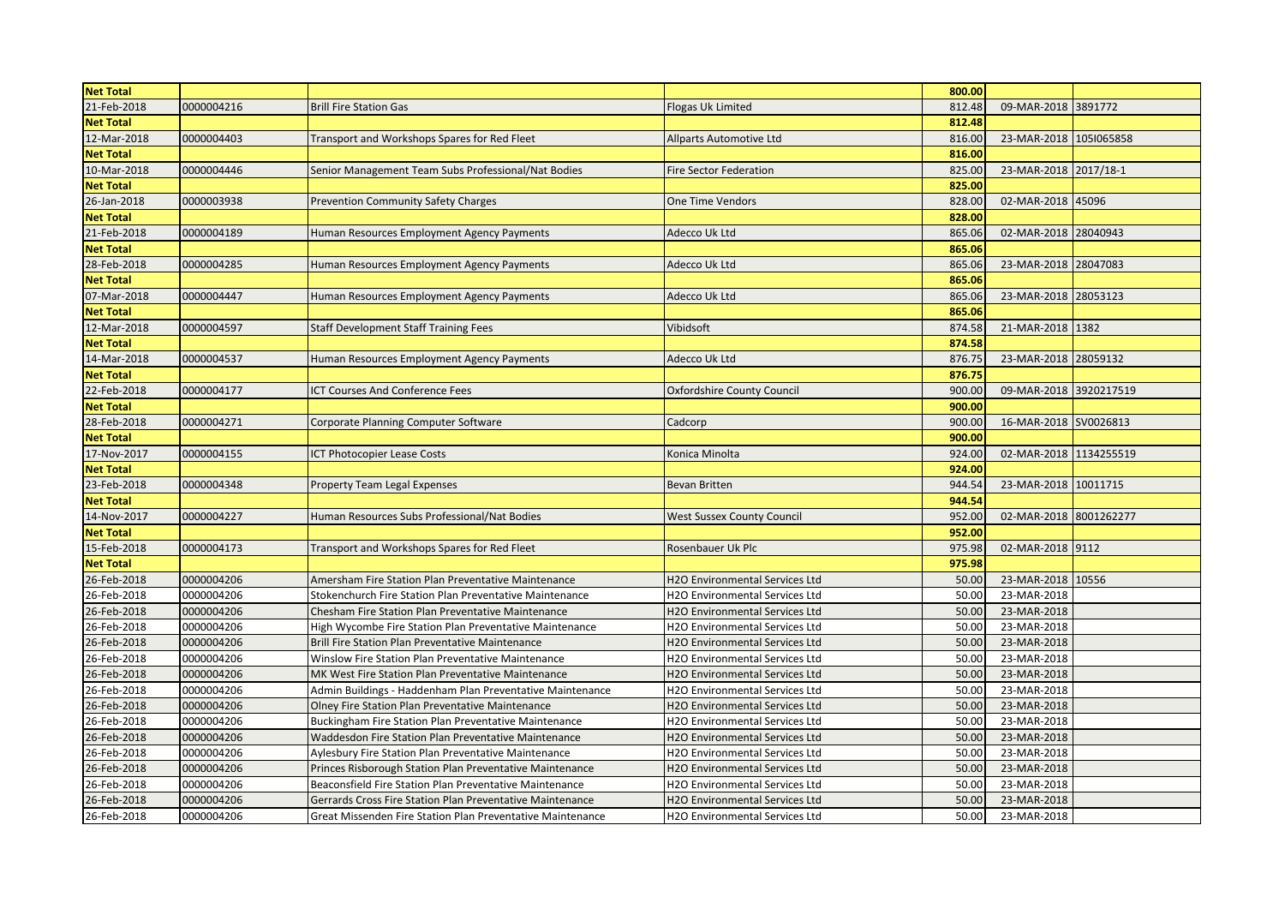| <b>Net Total</b> |            |                                                            |                                       | 800.00 |                        |          |
|------------------|------------|------------------------------------------------------------|---------------------------------------|--------|------------------------|----------|
| 21-Feb-2018      | 0000004216 | <b>Brill Fire Station Gas</b>                              | Flogas Uk Limited                     | 812.48 | 09-MAR-2018 3891772    |          |
| <b>Net Total</b> |            |                                                            |                                       | 812.48 |                        |          |
| 12-Mar-2018      | 0000004403 | Transport and Workshops Spares for Red Fleet               | Allparts Automotive Ltd               | 816.00 | 23-MAR-2018 1051065858 |          |
| <b>Net Total</b> |            |                                                            |                                       | 816.00 |                        |          |
| 10-Mar-2018      | 0000004446 | Senior Management Team Subs Professional/Nat Bodies        | <b>Fire Sector Federation</b>         | 825.00 | 23-MAR-2018 2017/18-1  |          |
| <b>Net Total</b> |            |                                                            |                                       | 825.00 |                        |          |
| 26-Jan-2018      | 0000003938 | <b>Prevention Community Safety Charges</b>                 | One Time Vendors                      | 828.00 | 02-MAR-2018 45096      |          |
| <b>Net Total</b> |            |                                                            |                                       | 828.00 |                        |          |
| 21-Feb-2018      | 0000004189 | Human Resources Employment Agency Payments                 | Adecco Uk Ltd                         | 865.06 | 02-MAR-2018 28040943   |          |
| <b>Net Total</b> |            |                                                            |                                       | 865.06 |                        |          |
| 28-Feb-2018      | 0000004285 | Human Resources Employment Agency Payments                 | Adecco Uk Ltd                         | 865.06 | 23-MAR-2018            | 28047083 |
| <b>Net Total</b> |            |                                                            |                                       | 865.06 |                        |          |
| 07-Mar-2018      | 0000004447 | Human Resources Employment Agency Payments                 | Adecco Uk Ltd                         | 865.06 | 23-MAR-2018            | 28053123 |
| <b>Net Total</b> |            |                                                            |                                       | 865.06 |                        |          |
| 12-Mar-2018      | 0000004597 | <b>Staff Development Staff Training Fees</b>               | Vibidsoft                             | 874.58 | 21-MAR-2018 1382       |          |
| <b>Net Total</b> |            |                                                            |                                       | 874.58 |                        |          |
| 14-Mar-2018      | 0000004537 | Human Resources Employment Agency Payments                 | Adecco Uk Ltd                         | 876.75 | 23-MAR-2018 28059132   |          |
| <b>Net Total</b> |            |                                                            |                                       | 876.75 |                        |          |
| 22-Feb-2018      | 0000004177 | <b>ICT Courses And Conference Fees</b>                     | <b>Oxfordshire County Council</b>     | 900.00 | 09-MAR-2018 3920217519 |          |
| <b>Net Total</b> |            |                                                            |                                       | 900.00 |                        |          |
| 28-Feb-2018      | 0000004271 | Corporate Planning Computer Software                       | Cadcorp                               | 900.00 | 16-MAR-2018 SV0026813  |          |
| <b>Net Total</b> |            |                                                            |                                       | 900.00 |                        |          |
| 17-Nov-2017      | 0000004155 | <b>CT Photocopier Lease Costs</b>                          | Konica Minolta                        | 924.00 | 02-MAR-2018 1134255519 |          |
| <b>Net Total</b> |            |                                                            |                                       | 924.00 |                        |          |
| 23-Feb-2018      | 0000004348 | <b>Property Team Legal Expenses</b>                        | <b>Bevan Britten</b>                  | 944.54 | 23-MAR-2018            | 10011715 |
| <b>Net Total</b> |            |                                                            |                                       | 944.54 |                        |          |
| 14-Nov-2017      | 0000004227 | Human Resources Subs Professional/Nat Bodies               | <b>West Sussex County Council</b>     | 952.00 | 02-MAR-2018 8001262277 |          |
| <b>Net Total</b> |            |                                                            |                                       | 952.00 |                        |          |
| 15-Feb-2018      | 0000004173 | Transport and Workshops Spares for Red Fleet               | Rosenbauer Uk Plc                     | 975.98 | 02-MAR-2018 9112       |          |
| <b>Net Total</b> |            |                                                            |                                       | 975.98 |                        |          |
| 26-Feb-2018      | 0000004206 | Amersham Fire Station Plan Preventative Maintenance        | <b>H2O Environmental Services Ltd</b> | 50.00  | 23-MAR-2018            | 10556    |
| 26-Feb-2018      | 0000004206 | Stokenchurch Fire Station Plan Preventative Maintenance    | H2O Environmental Services Ltd        | 50.00  | 23-MAR-2018            |          |
| 26-Feb-2018      | 0000004206 | Chesham Fire Station Plan Preventative Maintenance         | H2O Environmental Services Ltd        | 50.00  | 23-MAR-2018            |          |
| 26-Feb-2018      | 0000004206 | High Wycombe Fire Station Plan Preventative Maintenance    | H2O Environmental Services Ltd        | 50.00  | 23-MAR-2018            |          |
| 26-Feb-2018      | 0000004206 | Brill Fire Station Plan Preventative Maintenance           | H2O Environmental Services Ltd        | 50.00  | 23-MAR-2018            |          |
| 26-Feb-2018      | 0000004206 | Winslow Fire Station Plan Preventative Maintenance         | <b>H2O Environmental Services Ltd</b> | 50.00  | 23-MAR-2018            |          |
| 26-Feb-2018      | 0000004206 | MK West Fire Station Plan Preventative Maintenance         | H2O Environmental Services Ltd        | 50.00  | 23-MAR-2018            |          |
| 26-Feb-2018      | 0000004206 | Admin Buildings - Haddenham Plan Preventative Maintenance  | H2O Environmental Services Ltd        | 50.00  | 23-MAR-2018            |          |
| 26-Feb-2018      | 0000004206 | Olney Fire Station Plan Preventative Maintenance           | H2O Environmental Services Ltd        | 50.00  | 23-MAR-2018            |          |
| 26-Feb-2018      | 0000004206 | Buckingham Fire Station Plan Preventative Maintenance      | H2O Environmental Services Ltd        | 50.00  | 23-MAR-2018            |          |
| 26-Feb-2018      | 0000004206 | Waddesdon Fire Station Plan Preventative Maintenance       | H2O Environmental Services Ltd        | 50.00  | 23-MAR-2018            |          |
| 26-Feb-2018      | 0000004206 | Aylesbury Fire Station Plan Preventative Maintenance       | H2O Environmental Services Ltd        | 50.00  | 23-MAR-2018            |          |
| 26-Feb-2018      | 0000004206 | Princes Risborough Station Plan Preventative Maintenance   | H2O Environmental Services Ltd        | 50.00  | 23-MAR-2018            |          |
| 26-Feb-2018      | 0000004206 | Beaconsfield Fire Station Plan Preventative Maintenance    | H2O Environmental Services Ltd        | 50.00  | 23-MAR-2018            |          |
| 26-Feb-2018      | 0000004206 | Gerrards Cross Fire Station Plan Preventative Maintenance  | H2O Environmental Services Ltd        | 50.00  | 23-MAR-2018            |          |
| 26-Feb-2018      | 0000004206 | Great Missenden Fire Station Plan Preventative Maintenance | H2O Environmental Services Ltd        | 50.00  | 23-MAR-2018            |          |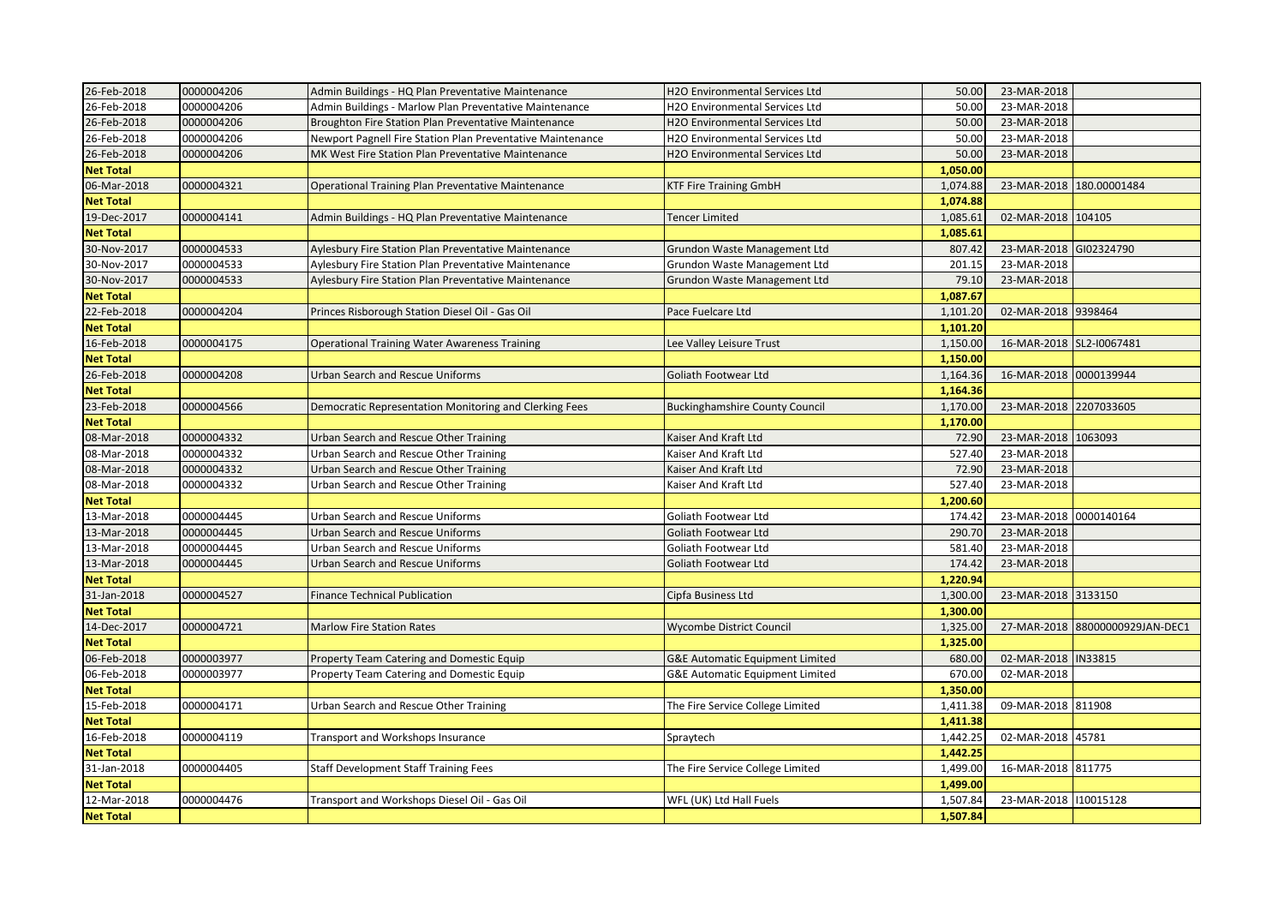| 26-Feb-2018      | 0000004206 | Admin Buildings - HQ Plan Preventative Maintenance         | H2O Environmental Services Ltd             | 50.00    | 23-MAR-2018              |                                 |
|------------------|------------|------------------------------------------------------------|--------------------------------------------|----------|--------------------------|---------------------------------|
| 26-Feb-2018      | 0000004206 | Admin Buildings - Marlow Plan Preventative Maintenance     | H2O Environmental Services Ltd             | 50.00    | 23-MAR-2018              |                                 |
| 26-Feb-2018      | 0000004206 | Broughton Fire Station Plan Preventative Maintenance       | H2O Environmental Services Ltd             | 50.00    | 23-MAR-2018              |                                 |
| 26-Feb-2018      | 0000004206 | Newport Pagnell Fire Station Plan Preventative Maintenance | H2O Environmental Services Ltd             | 50.00    | 23-MAR-2018              |                                 |
| 26-Feb-2018      | 0000004206 | MK West Fire Station Plan Preventative Maintenance         | H2O Environmental Services Ltd             | 50.00    | 23-MAR-2018              |                                 |
| <b>Net Total</b> |            |                                                            |                                            | 1,050.00 |                          |                                 |
| 06-Mar-2018      | 0000004321 | Operational Training Plan Preventative Maintenance         | <b>KTF Fire Training GmbH</b>              | 1,074.88 | 23-MAR-2018              | 180.00001484                    |
| <b>Net Total</b> |            |                                                            |                                            | 1,074.88 |                          |                                 |
| 19-Dec-2017      | 0000004141 | Admin Buildings - HQ Plan Preventative Maintenance         | Tencer Limited                             | 1,085.61 | 02-MAR-2018              | 104105                          |
| <b>Net Total</b> |            |                                                            |                                            | 1,085.61 |                          |                                 |
| 30-Nov-2017      | 0000004533 | Aylesbury Fire Station Plan Preventative Maintenance       | Grundon Waste Management Ltd               | 807.42   | 23-MAR-2018              | GI02324790                      |
| 30-Nov-2017      | 0000004533 | Aylesbury Fire Station Plan Preventative Maintenance       | Grundon Waste Management Ltd               | 201.15   | 23-MAR-2018              |                                 |
| 30-Nov-2017      | 0000004533 | Aylesbury Fire Station Plan Preventative Maintenance       | Grundon Waste Management Ltd               | 79.10    | 23-MAR-2018              |                                 |
| <b>Net Total</b> |            |                                                            |                                            | 1,087.67 |                          |                                 |
| 22-Feb-2018      | 0000004204 | Princes Risborough Station Diesel Oil - Gas Oil            | Pace Fuelcare Ltd                          | 1,101.20 | 02-MAR-2018 9398464      |                                 |
| <b>Net Total</b> |            |                                                            |                                            | 1,101.20 |                          |                                 |
| 16-Feb-2018      | 0000004175 | <b>Operational Training Water Awareness Training</b>       | Lee Valley Leisure Trust                   | 1,150.00 | 16-MAR-2018 SL2-I0067481 |                                 |
| <b>Net Total</b> |            |                                                            |                                            | 1,150.00 |                          |                                 |
| 26-Feb-2018      | 0000004208 | Urban Search and Rescue Uniforms                           | Goliath Footwear Ltd                       | 1,164.36 | 16-MAR-2018 0000139944   |                                 |
| <b>Net Total</b> |            |                                                            |                                            | 1,164.36 |                          |                                 |
| 23-Feb-2018      | 0000004566 | Democratic Representation Monitoring and Clerking Fees     | <b>Buckinghamshire County Council</b>      | 1,170.00 | 23-MAR-2018              | 2207033605                      |
| <b>Net Total</b> |            |                                                            |                                            | 1,170.00 |                          |                                 |
| 08-Mar-2018      | 0000004332 | Urban Search and Rescue Other Training                     | Kaiser And Kraft Ltd                       | 72.90    | 23-MAR-2018              | 1063093                         |
| 08-Mar-2018      | 0000004332 | Urban Search and Rescue Other Training                     | Kaiser And Kraft Ltd                       | 527.40   | 23-MAR-2018              |                                 |
| 08-Mar-2018      | 0000004332 | Urban Search and Rescue Other Training                     | Kaiser And Kraft Ltd                       | 72.90    | 23-MAR-2018              |                                 |
| 08-Mar-2018      | 0000004332 | Urban Search and Rescue Other Training                     | Kaiser And Kraft Ltd                       | 527.40   | 23-MAR-2018              |                                 |
| <b>Net Total</b> |            |                                                            |                                            | 1,200.60 |                          |                                 |
| 13-Mar-2018      | 0000004445 | Urban Search and Rescue Uniforms                           | Goliath Footwear Ltd                       | 174.42   | 23-MAR-2018              | 0000140164                      |
| 13-Mar-2018      | 0000004445 | Urban Search and Rescue Uniforms                           | Goliath Footwear Ltd                       | 290.70   | 23-MAR-2018              |                                 |
| 13-Mar-2018      | 0000004445 | Urban Search and Rescue Uniforms                           | Goliath Footwear Ltd                       | 581.40   | 23-MAR-2018              |                                 |
| 13-Mar-2018      | 0000004445 | Urban Search and Rescue Uniforms                           | Goliath Footwear Ltd                       | 174.42   | 23-MAR-2018              |                                 |
| <b>Net Total</b> |            |                                                            |                                            | 1,220.94 |                          |                                 |
| 31-Jan-2018      | 0000004527 | <b>Finance Technical Publication</b>                       | Cipfa Business Ltd                         | 1,300.00 | 23-MAR-2018 3133150      |                                 |
| <b>Net Total</b> |            |                                                            |                                            | 1,300.00 |                          |                                 |
| 14-Dec-2017      | 0000004721 | <b>Marlow Fire Station Rates</b>                           | <b>Wycombe District Council</b>            | 1,325.00 |                          | 27-MAR-2018 88000000929JAN-DEC1 |
| <b>Net Total</b> |            |                                                            |                                            | 1,325.00 |                          |                                 |
| 06-Feb-2018      | 0000003977 | Property Team Catering and Domestic Equip                  | G&E Automatic Equipment Limited            | 680.00   | 02-MAR-2018  IN33815     |                                 |
| 06-Feb-2018      | 0000003977 | Property Team Catering and Domestic Equip                  | <b>G&amp;E Automatic Equipment Limited</b> | 670.00   | 02-MAR-2018              |                                 |
| <b>Net Total</b> |            |                                                            |                                            | 1,350.00 |                          |                                 |
| 15-Feb-2018      | 0000004171 | Urban Search and Rescue Other Training                     | The Fire Service College Limited           | 1,411.38 | 09-MAR-2018 811908       |                                 |
| <b>Net Total</b> |            |                                                            |                                            | 1,411.38 |                          |                                 |
| 16-Feb-2018      | 0000004119 | Transport and Workshops Insurance                          | Spraytech                                  | 1,442.25 | 02-MAR-2018 45781        |                                 |
| <b>Net Total</b> |            |                                                            |                                            | 1,442.25 |                          |                                 |
| 31-Jan-2018      | 0000004405 | <b>Staff Development Staff Training Fees</b>               | The Fire Service College Limited           | 1,499.00 | 16-MAR-2018 811775       |                                 |
| <b>Net Total</b> |            |                                                            |                                            | 1,499.00 |                          |                                 |
| 12-Mar-2018      | 0000004476 | Transport and Workshops Diesel Oil - Gas Oil               | WFL (UK) Ltd Hall Fuels                    | 1,507.84 | 23-MAR-2018 110015128    |                                 |
| <b>Net Total</b> |            |                                                            |                                            | 1,507.84 |                          |                                 |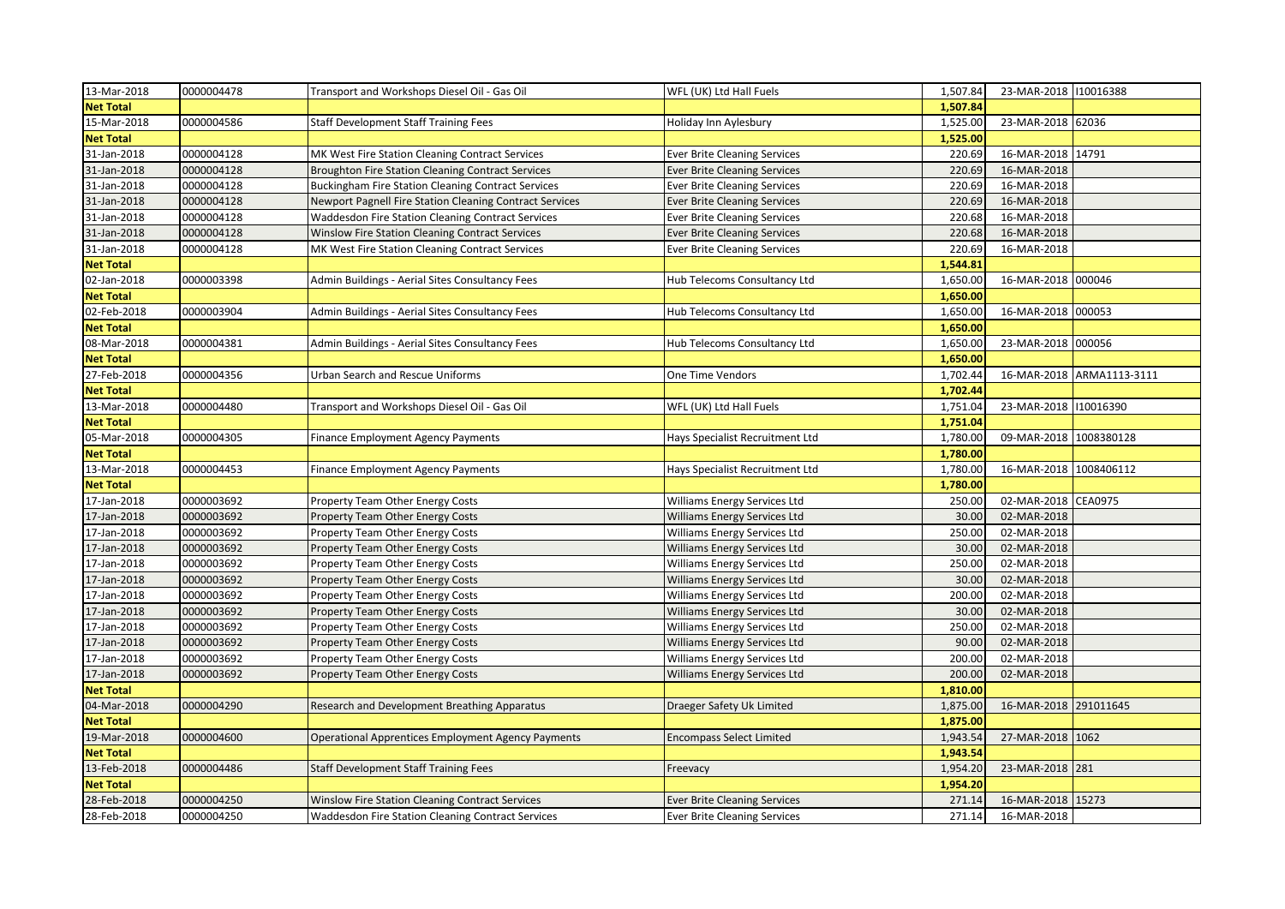| 13-Mar-2018      | 0000004478 | Transport and Workshops Diesel Oil - Gas Oil                   | WFL (UK) Ltd Hall Fuels             | 1,507.84 | 23-MAR-2018 10016388   |               |
|------------------|------------|----------------------------------------------------------------|-------------------------------------|----------|------------------------|---------------|
| <b>Net Total</b> |            |                                                                |                                     | 1,507.84 |                        |               |
| 15-Mar-2018      | 0000004586 | Staff Development Staff Training Fees                          | Holiday Inn Aylesbury               | 1,525.00 | 23-MAR-2018 62036      |               |
| <b>Net Total</b> |            |                                                                |                                     | 1,525.00 |                        |               |
| 31-Jan-2018      | 0000004128 | MK West Fire Station Cleaning Contract Services                | <b>Ever Brite Cleaning Services</b> | 220.69   | 16-MAR-2018 14791      |               |
| 31-Jan-2018      | 0000004128 | <b>Broughton Fire Station Cleaning Contract Services</b>       | <b>Ever Brite Cleaning Services</b> | 220.69   | 16-MAR-2018            |               |
| 31-Jan-2018      | 0000004128 | <b>Buckingham Fire Station Cleaning Contract Services</b>      | <b>Ever Brite Cleaning Services</b> | 220.69   | 16-MAR-2018            |               |
| 31-Jan-2018      | 0000004128 | <b>Newport Pagnell Fire Station Cleaning Contract Services</b> | <b>Ever Brite Cleaning Services</b> | 220.69   | 16-MAR-2018            |               |
| 31-Jan-2018      | 0000004128 | <b>Waddesdon Fire Station Cleaning Contract Services</b>       | <b>Ever Brite Cleaning Services</b> | 220.68   | 16-MAR-2018            |               |
| 31-Jan-2018      | 0000004128 | <b>Winslow Fire Station Cleaning Contract Services</b>         | <b>Ever Brite Cleaning Services</b> | 220.68   | 16-MAR-2018            |               |
| 31-Jan-2018      | 0000004128 | MK West Fire Station Cleaning Contract Services                | <b>Ever Brite Cleaning Services</b> | 220.69   | 16-MAR-2018            |               |
| <b>Net Total</b> |            |                                                                |                                     | 1,544.81 |                        |               |
| 02-Jan-2018      | 0000003398 | Admin Buildings - Aerial Sites Consultancy Fees                | Hub Telecoms Consultancy Ltd        | 1,650.00 | 16-MAR-2018 000046     |               |
| <b>Net Total</b> |            |                                                                |                                     | 1,650.00 |                        |               |
| 02-Feb-2018      | 0000003904 | Admin Buildings - Aerial Sites Consultancy Fees                | Hub Telecoms Consultancy Ltd        | 1,650.00 | 16-MAR-2018 000053     |               |
| <b>Net Total</b> |            |                                                                |                                     | 1,650.00 |                        |               |
| 08-Mar-2018      | 0000004381 | Admin Buildings - Aerial Sites Consultancy Fees                | Hub Telecoms Consultancy Ltd        | 1,650.00 | 23-MAR-2018 000056     |               |
| <b>Net Total</b> |            |                                                                |                                     | 1,650.00 |                        |               |
| 27-Feb-2018      | 0000004356 | Urban Search and Rescue Uniforms                               | One Time Vendors                    | 1,702.44 | 16-MAR-2018            | ARMA1113-3111 |
| <b>Net Total</b> |            |                                                                |                                     | 1,702.44 |                        |               |
| 13-Mar-2018      | 0000004480 | Transport and Workshops Diesel Oil - Gas Oil                   | WFL (UK) Ltd Hall Fuels             | 1,751.04 | 23-MAR-2018            | 110016390     |
| <b>Net Total</b> |            |                                                                |                                     | 1,751.04 |                        |               |
| 05-Mar-2018      | 0000004305 | Finance Employment Agency Payments                             | Hays Specialist Recruitment Ltd     | 1,780.00 | 09-MAR-2018 1008380128 |               |
| <b>Net Total</b> |            |                                                                |                                     | 1,780.00 |                        |               |
| 13-Mar-2018      | 0000004453 | Finance Employment Agency Payments                             | Hays Specialist Recruitment Ltd     | 1,780.00 | 16-MAR-2018            | 1008406112    |
| <b>Net Total</b> |            |                                                                |                                     | 1,780.00 |                        |               |
| 17-Jan-2018      | 0000003692 | Property Team Other Energy Costs                               | Williams Energy Services Ltd        | 250.00   | 02-MAR-2018 CEA0975    |               |
| 17-Jan-2018      | 0000003692 | <b>Property Team Other Energy Costs</b>                        | Williams Energy Services Ltd        | 30.00    | 02-MAR-2018            |               |
| 17-Jan-2018      | 0000003692 | Property Team Other Energy Costs                               | Williams Energy Services Ltd        | 250.00   | 02-MAR-2018            |               |
| 17-Jan-2018      | 0000003692 | <b>Property Team Other Energy Costs</b>                        | Williams Energy Services Ltd        | 30.00    | 02-MAR-2018            |               |
| 17-Jan-2018      | 0000003692 | Property Team Other Energy Costs                               | Williams Energy Services Ltd        | 250.00   | 02-MAR-2018            |               |
| 17-Jan-2018      | 0000003692 | Property Team Other Energy Costs                               | Williams Energy Services Ltd        | 30.00    | 02-MAR-2018            |               |
| 17-Jan-2018      | 0000003692 | Property Team Other Energy Costs                               | Williams Energy Services Ltd        | 200.00   | 02-MAR-2018            |               |
| 17-Jan-2018      | 0000003692 | Property Team Other Energy Costs                               | <b>Williams Energy Services Ltd</b> | 30.00    | 02-MAR-2018            |               |
| 17-Jan-2018      | 0000003692 | Property Team Other Energy Costs                               | Williams Energy Services Ltd        | 250.00   | 02-MAR-2018            |               |
| 17-Jan-2018      | 0000003692 | Property Team Other Energy Costs                               | <b>Williams Energy Services Ltd</b> | 90.00    | 02-MAR-2018            |               |
| 17-Jan-2018      | 0000003692 | Property Team Other Energy Costs                               | Williams Energy Services Ltd        | 200.00   | 02-MAR-2018            |               |
| 17-Jan-2018      | 0000003692 | Property Team Other Energy Costs                               | Williams Energy Services Ltd        | 200.00   | 02-MAR-2018            |               |
| <b>Net Total</b> |            |                                                                |                                     | 1,810.00 |                        |               |
| 04-Mar-2018      | 0000004290 | Research and Development Breathing Apparatus                   | Draeger Safety Uk Limited           | 1,875.00 | 16-MAR-2018 291011645  |               |
| <b>Net Total</b> |            |                                                                |                                     | 1,875.00 |                        |               |
| 19-Mar-2018      | 0000004600 | Operational Apprentices Employment Agency Payments             | <b>Encompass Select Limited</b>     | 1,943.54 | 27-MAR-2018            | 1062          |
| <b>Net Total</b> |            |                                                                |                                     | 1,943.54 |                        |               |
| 13-Feb-2018      | 0000004486 | <b>Staff Development Staff Training Fees</b>                   | Freevacy                            | 1,954.20 | 23-MAR-2018 281        |               |
| <b>Net Total</b> |            |                                                                |                                     | 1,954.20 |                        |               |
| 28-Feb-2018      | 0000004250 | Winslow Fire Station Cleaning Contract Services                | <b>Ever Brite Cleaning Services</b> | 271.14   | 16-MAR-2018 15273      |               |
| 28-Feb-2018      | 0000004250 | Waddesdon Fire Station Cleaning Contract Services              | <b>Ever Brite Cleaning Services</b> | 271.14   | 16-MAR-2018            |               |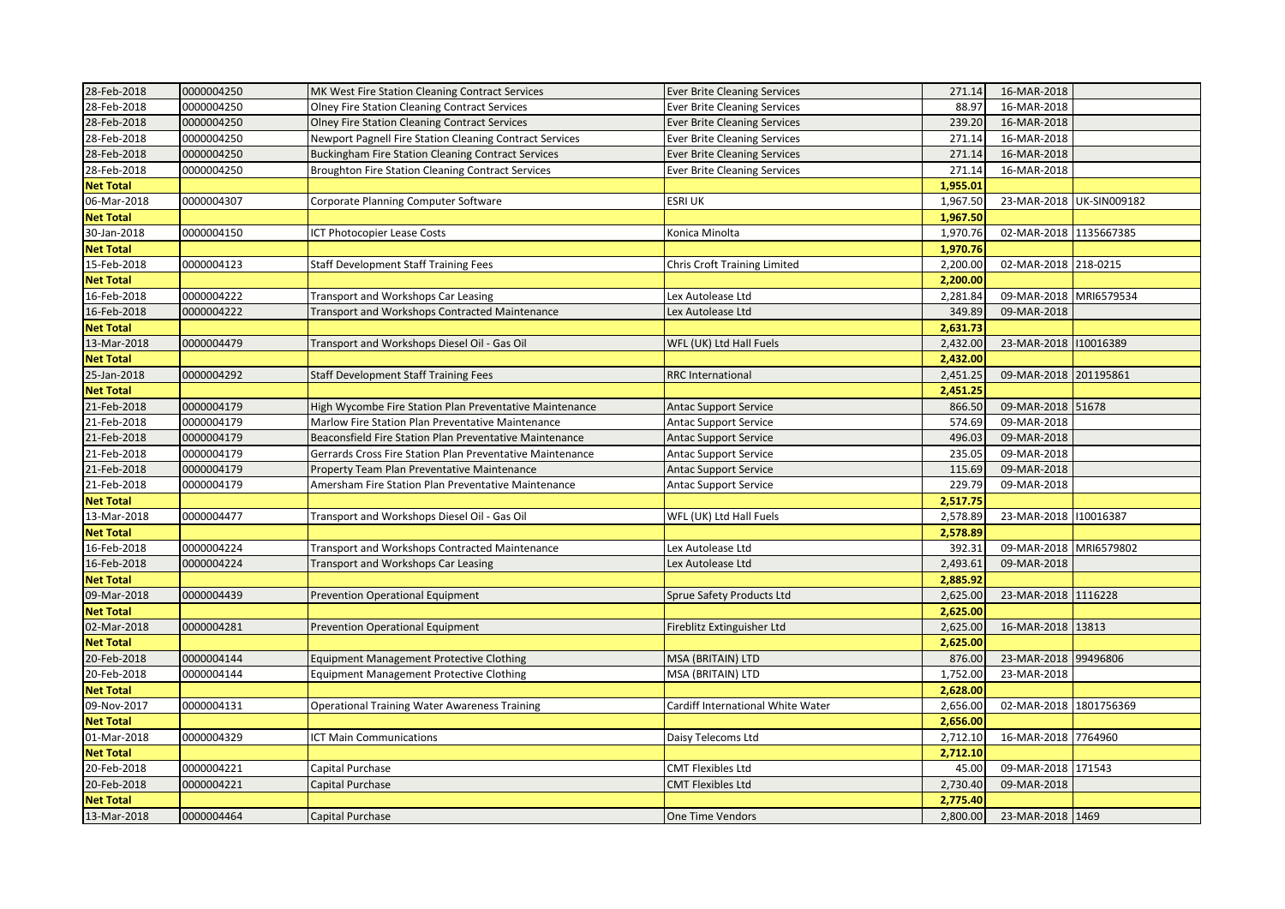| 28-Feb-2018      | 0000004250 | MK West Fire Station Cleaning Contract Services           | <b>Ever Brite Cleaning Services</b> | 271.14   | 16-MAR-2018            |                          |
|------------------|------------|-----------------------------------------------------------|-------------------------------------|----------|------------------------|--------------------------|
| 28-Feb-2018      | 0000004250 | <b>Olney Fire Station Cleaning Contract Services</b>      | <b>Ever Brite Cleaning Services</b> | 88.97    | 16-MAR-2018            |                          |
| 28-Feb-2018      | 0000004250 | <b>Olney Fire Station Cleaning Contract Services</b>      | <b>Ever Brite Cleaning Services</b> | 239.20   | 16-MAR-2018            |                          |
| 28-Feb-2018      | 0000004250 | Newport Pagnell Fire Station Cleaning Contract Services   | <b>Ever Brite Cleaning Services</b> | 271.14   | 16-MAR-2018            |                          |
| 28-Feb-2018      | 0000004250 | <b>Buckingham Fire Station Cleaning Contract Services</b> | <b>Ever Brite Cleaning Services</b> | 271.14   | 16-MAR-2018            |                          |
| 28-Feb-2018      | 0000004250 | <b>Broughton Fire Station Cleaning Contract Services</b>  | <b>Ever Brite Cleaning Services</b> | 271.14   | 16-MAR-2018            |                          |
| <b>Net Total</b> |            |                                                           |                                     | 1,955.01 |                        |                          |
| 06-Mar-2018      | 0000004307 | Corporate Planning Computer Software                      | <b>ESRI UK</b>                      | 1,967.50 |                        | 23-MAR-2018 UK-SIN009182 |
| <b>Net Total</b> |            |                                                           |                                     | 1,967.50 |                        |                          |
| 30-Jan-2018      | 0000004150 | ICT Photocopier Lease Costs                               | Konica Minolta                      | 1,970.76 | 02-MAR-2018 1135667385 |                          |
| <b>Net Total</b> |            |                                                           |                                     | 1,970.76 |                        |                          |
| 15-Feb-2018      | 0000004123 | <b>Staff Development Staff Training Fees</b>              | <b>Chris Croft Training Limited</b> | 2,200.00 | 02-MAR-2018 218-0215   |                          |
| <b>Net Total</b> |            |                                                           |                                     | 2,200.00 |                        |                          |
| 16-Feb-2018      | 0000004222 | Transport and Workshops Car Leasing                       | Lex Autolease Ltd                   | 2,281.84 | 09-MAR-2018 MRI6579534 |                          |
| 16-Feb-2018      | 0000004222 | <b>Transport and Workshops Contracted Maintenance</b>     | Lex Autolease Ltd                   | 349.89   | 09-MAR-2018            |                          |
| <b>Net Total</b> |            |                                                           |                                     | 2,631.73 |                        |                          |
| 13-Mar-2018      | 0000004479 | Transport and Workshops Diesel Oil - Gas Oil              | WFL (UK) Ltd Hall Fuels             | 2,432.00 | 23-MAR-2018 110016389  |                          |
| <b>Net Total</b> |            |                                                           |                                     | 2,432.00 |                        |                          |
| 25-Jan-2018      | 0000004292 | Staff Development Staff Training Fees                     | <b>RRC</b> International            | 2,451.25 | 09-MAR-2018 201195861  |                          |
| <b>Net Total</b> |            |                                                           |                                     | 2,451.25 |                        |                          |
| 21-Feb-2018      | 0000004179 | High Wycombe Fire Station Plan Preventative Maintenance   | <b>Antac Support Service</b>        | 866.50   | 09-MAR-2018 51678      |                          |
| 21-Feb-2018      | 0000004179 | Marlow Fire Station Plan Preventative Maintenance         | <b>Antac Support Service</b>        | 574.69   | 09-MAR-2018            |                          |
| 21-Feb-2018      | 0000004179 | Beaconsfield Fire Station Plan Preventative Maintenance   | <b>Antac Support Service</b>        | 496.03   | 09-MAR-2018            |                          |
| 21-Feb-2018      | 0000004179 | Gerrards Cross Fire Station Plan Preventative Maintenance | <b>Antac Support Service</b>        | 235.05   | 09-MAR-2018            |                          |
| 21-Feb-2018      | 0000004179 | Property Team Plan Preventative Maintenance               | <b>Antac Support Service</b>        | 115.69   | 09-MAR-2018            |                          |
| 21-Feb-2018      | 0000004179 | Amersham Fire Station Plan Preventative Maintenance       | Antac Support Service               | 229.79   | 09-MAR-2018            |                          |
| <b>Net Total</b> |            |                                                           |                                     | 2,517.75 |                        |                          |
| 13-Mar-2018      | 0000004477 | Transport and Workshops Diesel Oil - Gas Oil              | WFL (UK) Ltd Hall Fuels             | 2,578.89 | 23-MAR-2018 110016387  |                          |
| <b>Net Total</b> |            |                                                           |                                     | 2,578.89 |                        |                          |
| 16-Feb-2018      | 0000004224 | <b>Transport and Workshops Contracted Maintenance</b>     | Lex Autolease Ltd                   | 392.31   | 09-MAR-2018 MRI6579802 |                          |
| 16-Feb-2018      | 0000004224 | Transport and Workshops Car Leasing                       | Lex Autolease Ltd                   | 2,493.61 | 09-MAR-2018            |                          |
| <b>Net Total</b> |            |                                                           |                                     | 2,885.92 |                        |                          |
| 09-Mar-2018      | 0000004439 | <b>Prevention Operational Equipment</b>                   | Sprue Safety Products Ltd           | 2,625.00 | 23-MAR-2018 1116228    |                          |
| <b>Net Total</b> |            |                                                           |                                     | 2,625.00 |                        |                          |
| 02-Mar-2018      | 0000004281 | <b>Prevention Operational Equipment</b>                   | Fireblitz Extinguisher Ltd          | 2,625.00 | 16-MAR-2018 13813      |                          |
| <b>Net Total</b> |            |                                                           |                                     | 2,625.00 |                        |                          |
| 20-Feb-2018      | 0000004144 | Equipment Management Protective Clothing                  | MSA (BRITAIN) LTD                   | 876.00   | 23-MAR-2018 99496806   |                          |
| 20-Feb-2018      | 0000004144 | <b>Equipment Management Protective Clothing</b>           | MSA (BRITAIN) LTD                   | 1,752.00 | 23-MAR-2018            |                          |
| <b>Net Total</b> |            |                                                           |                                     | 2,628.00 |                        |                          |
| 09-Nov-2017      | 0000004131 | <b>Operational Training Water Awareness Training</b>      | Cardiff International White Water   | 2,656.00 | 02-MAR-2018 1801756369 |                          |
| <b>Net Total</b> |            |                                                           |                                     | 2,656.00 |                        |                          |
| 01-Mar-2018      | 0000004329 | ICT Main Communications                                   | Daisy Telecoms Ltd                  | 2,712.10 | 16-MAR-2018 7764960    |                          |
| <b>Net Total</b> |            |                                                           |                                     | 2,712.10 |                        |                          |
| 20-Feb-2018      | 0000004221 | Capital Purchase                                          | <b>CMT Flexibles Ltd</b>            | 45.00    | 09-MAR-2018 171543     |                          |
| 20-Feb-2018      | 0000004221 | Capital Purchase                                          | <b>CMT Flexibles Ltd</b>            | 2,730.40 | 09-MAR-2018            |                          |
| <b>Net Total</b> |            |                                                           |                                     | 2,775.40 |                        |                          |
| 13-Mar-2018      | 0000004464 | Capital Purchase                                          | One Time Vendors                    | 2,800.00 | 23-MAR-2018 1469       |                          |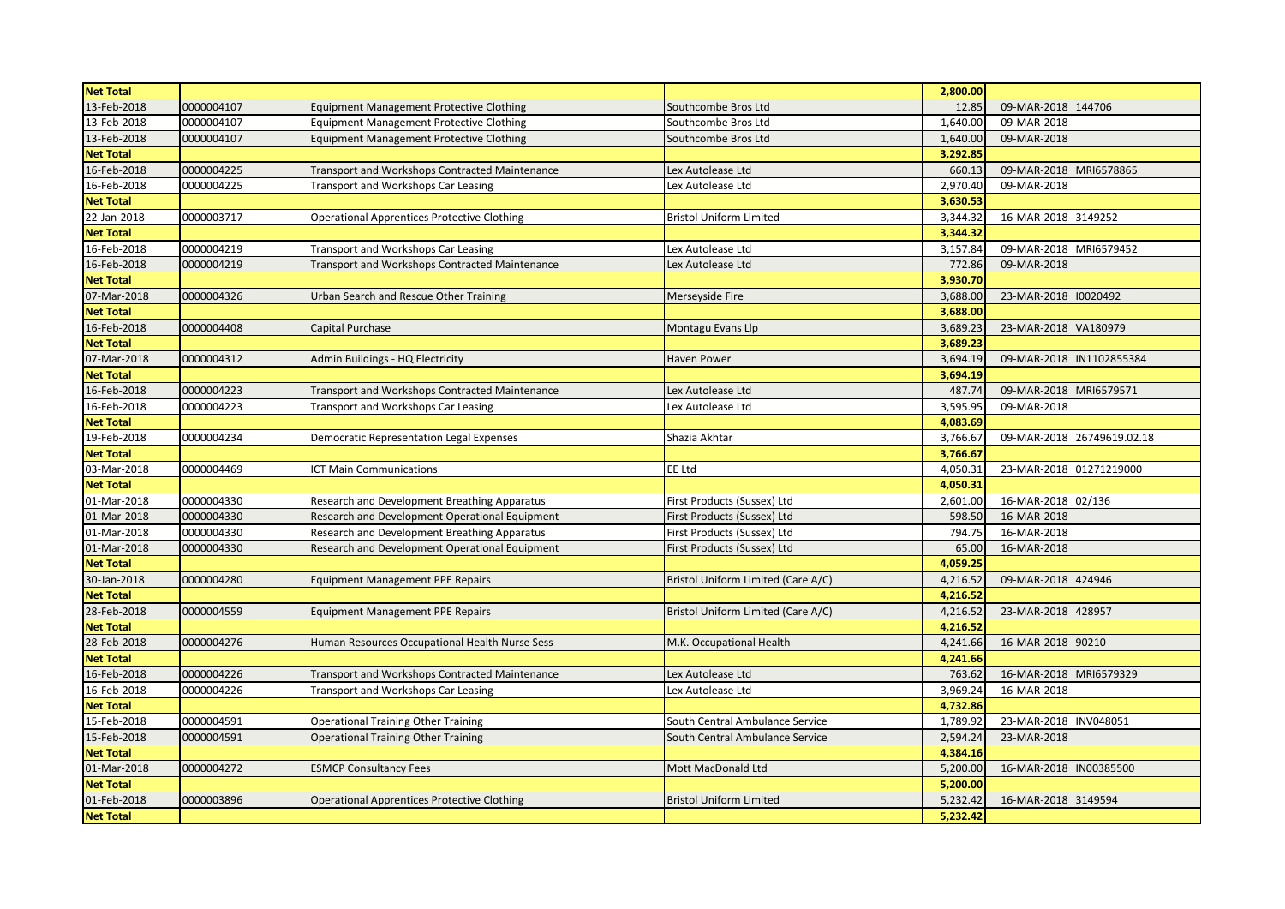| <b>Net Total</b> |            |                                                    |                                    | 2,800.00 |                         |                            |
|------------------|------------|----------------------------------------------------|------------------------------------|----------|-------------------------|----------------------------|
| 13-Feb-2018      | 0000004107 | <b>Equipment Management Protective Clothing</b>    | Southcombe Bros Ltd                | 12.85    | 09-MAR-2018             | 144706                     |
| 13-Feb-2018      | 0000004107 | <b>Equipment Management Protective Clothing</b>    | Southcombe Bros Ltd                | 1,640.00 | 09-MAR-2018             |                            |
| 13-Feb-2018      | 0000004107 | <b>Equipment Management Protective Clothing</b>    | Southcombe Bros Ltd                | 1,640.00 | 09-MAR-2018             |                            |
| <b>Net Total</b> |            |                                                    |                                    | 3,292.85 |                         |                            |
| 16-Feb-2018      | 0000004225 | Transport and Workshops Contracted Maintenance     | Lex Autolease Ltd                  | 660.13   | 09-MAR-2018             | MRI6578865                 |
| 16-Feb-2018      | 0000004225 | Transport and Workshops Car Leasing                | Lex Autolease Ltd                  | 2,970.40 | 09-MAR-2018             |                            |
| <b>Net Total</b> |            |                                                    |                                    | 3,630.53 |                         |                            |
| 22-Jan-2018      | 0000003717 | <b>Operational Apprentices Protective Clothing</b> | <b>Bristol Uniform Limited</b>     | 3,344.32 | 16-MAR-2018             | 3149252                    |
| <b>Net Total</b> |            |                                                    |                                    | 3,344.32 |                         |                            |
| 16-Feb-2018      | 0000004219 | <b>Transport and Workshops Car Leasing</b>         | Lex Autolease Ltd                  | 3,157.84 | 09-MAR-2018             | MRI6579452                 |
| 16-Feb-2018      | 0000004219 | Transport and Workshops Contracted Maintenance     | Lex Autolease Ltd                  | 772.86   | 09-MAR-2018             |                            |
| <b>Net Total</b> |            |                                                    |                                    | 3,930.70 |                         |                            |
| 07-Mar-2018      | 0000004326 | Urban Search and Rescue Other Training             | Merseyside Fire                    | 3,688.00 | 23-MAR-2018             | 10020492                   |
| <b>Net Total</b> |            |                                                    |                                    | 3,688.00 |                         |                            |
| 16-Feb-2018      | 0000004408 | <b>Capital Purchase</b>                            | Montagu Evans Llp                  | 3,689.23 | 23-MAR-2018 VA180979    |                            |
| <b>Net Total</b> |            |                                                    |                                    | 3,689.23 |                         |                            |
| 07-Mar-2018      | 0000004312 | Admin Buildings - HQ Electricity                   | Haven Power                        | 3,694.19 | 09-MAR-2018             | IN1102855384               |
| <b>Net Total</b> |            |                                                    |                                    | 3,694.19 |                         |                            |
| 16-Feb-2018      | 0000004223 | Transport and Workshops Contracted Maintenance     | Lex Autolease Ltd                  | 487.74   | 09-MAR-2018             | MRI6579571                 |
| 16-Feb-2018      | 0000004223 | Transport and Workshops Car Leasing                | Lex Autolease Ltd                  | 3,595.95 | 09-MAR-2018             |                            |
| <b>Net Total</b> |            |                                                    |                                    | 4,083.69 |                         |                            |
| 19-Feb-2018      | 0000004234 | <b>Democratic Representation Legal Expenses</b>    | Shazia Akhtar                      | 3,766.67 |                         | 09-MAR-2018 26749619.02.18 |
| <b>Net Total</b> |            |                                                    |                                    | 3,766.67 |                         |                            |
| 03-Mar-2018      | 0000004469 | <b>ICT Main Communications</b>                     | EE Ltd                             | 4,050.31 | 23-MAR-2018 01271219000 |                            |
| <b>Net Total</b> |            |                                                    |                                    | 4,050.31 |                         |                            |
| 01-Mar-2018      | 0000004330 | Research and Development Breathing Apparatus       | First Products (Sussex) Ltd        | 2,601.00 | 16-MAR-2018             | 02/136                     |
| 01-Mar-2018      | 0000004330 | Research and Development Operational Equipment     | First Products (Sussex) Ltd        | 598.50   | 16-MAR-2018             |                            |
| 01-Mar-2018      | 0000004330 | Research and Development Breathing Apparatus       | First Products (Sussex) Ltd        | 794.75   | 16-MAR-2018             |                            |
| 01-Mar-2018      | 0000004330 | Research and Development Operational Equipment     | First Products (Sussex) Ltd        | 65.00    | 16-MAR-2018             |                            |
| <b>Net Total</b> |            |                                                    |                                    | 4,059.25 |                         |                            |
| 30-Jan-2018      | 0000004280 | <b>Equipment Management PPE Repairs</b>            | Bristol Uniform Limited (Care A/C) | 4,216.52 | 09-MAR-2018             | 424946                     |
| <b>Net Total</b> |            |                                                    |                                    | 4,216.52 |                         |                            |
| 28-Feb-2018      | 0000004559 | <b>Equipment Management PPE Repairs</b>            | Bristol Uniform Limited (Care A/C) | 4,216.52 | 23-MAR-2018             | 428957                     |
| <b>Net Total</b> |            |                                                    |                                    | 4,216.52 |                         |                            |
| 28-Feb-2018      | 0000004276 | Human Resources Occupational Health Nurse Sess     | M.K. Occupational Health           | 4,241.66 | 16-MAR-2018             | 90210                      |
| <b>Net Total</b> |            |                                                    |                                    | 4,241.66 |                         |                            |
| 16-Feb-2018      | 0000004226 | Transport and Workshops Contracted Maintenance     | Lex Autolease Ltd                  | 763.62   | 16-MAR-2018             | MRI6579329                 |
| 16-Feb-2018      | 0000004226 | <b>Transport and Workshops Car Leasing</b>         | Lex Autolease Ltd                  | 3,969.24 | 16-MAR-2018             |                            |
| <b>Net Total</b> |            |                                                    |                                    | 4,732.86 |                         |                            |
| 15-Feb-2018      | 0000004591 | <b>Operational Training Other Training</b>         | South Central Ambulance Service    | 1,789.92 | 23-MAR-2018             | INV048051                  |
| 15-Feb-2018      | 0000004591 | <b>Operational Training Other Training</b>         | South Central Ambulance Service    | 2,594.24 | 23-MAR-2018             |                            |
| <b>Net Total</b> |            |                                                    |                                    | 4,384.16 |                         |                            |
| 01-Mar-2018      | 0000004272 | <b>ESMCP Consultancy Fees</b>                      | Mott MacDonald Ltd                 | 5,200.00 | 16-MAR-2018             | IN00385500                 |
| <b>Net Total</b> |            |                                                    |                                    | 5,200.00 |                         |                            |
| 01-Feb-2018      | 0000003896 | <b>Operational Apprentices Protective Clothing</b> | <b>Bristol Uniform Limited</b>     | 5,232.42 | 16-MAR-2018             | 3149594                    |
| <b>Net Total</b> |            |                                                    |                                    | 5,232.42 |                         |                            |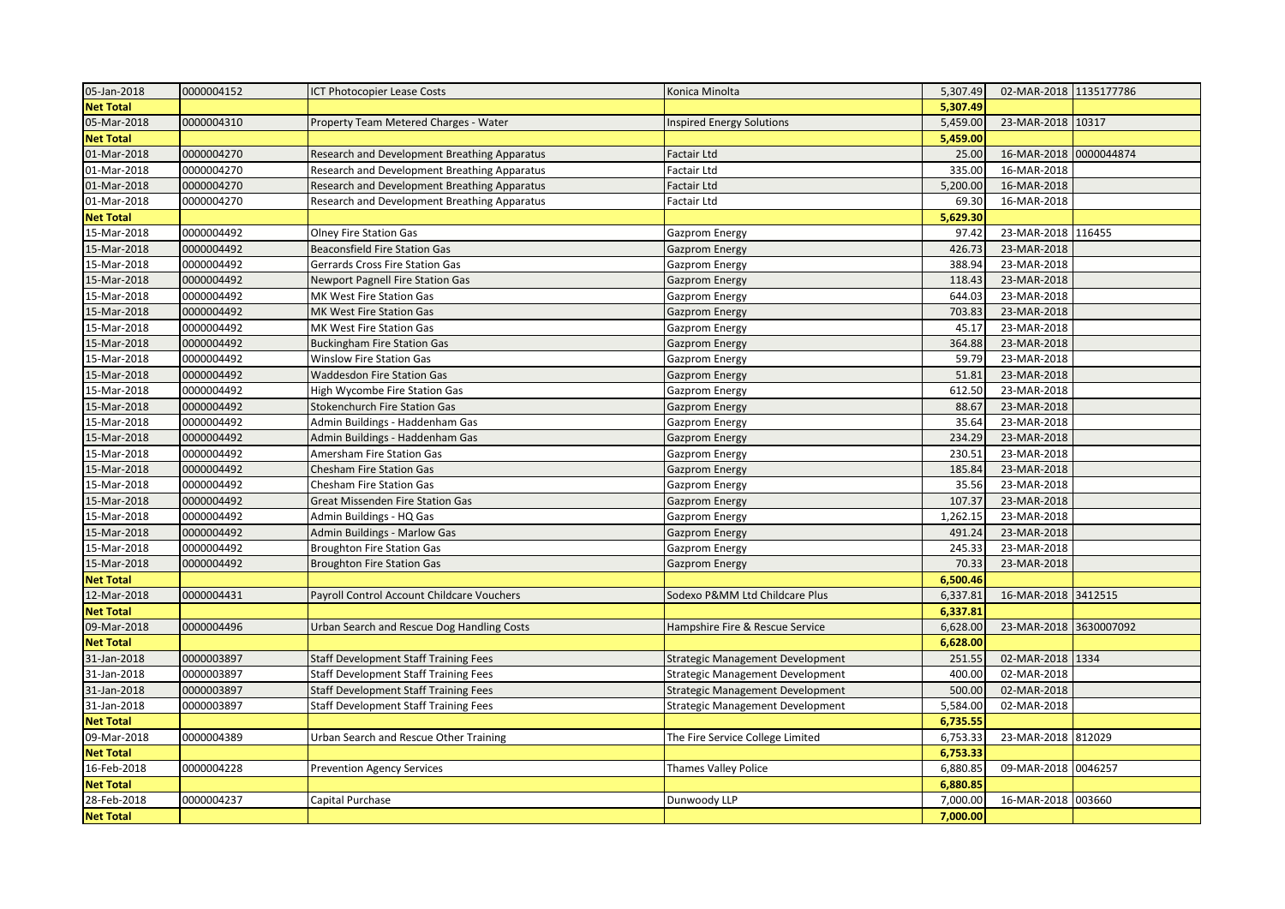| 05-Jan-2018      | 0000004152 | ICT Photocopier Lease Costs                  | Konica Minolta                   | 5,307.49 | 02-MAR-2018 1135177786 |            |
|------------------|------------|----------------------------------------------|----------------------------------|----------|------------------------|------------|
| <b>Net Total</b> |            |                                              |                                  | 5,307.49 |                        |            |
| 05-Mar-2018      | 0000004310 | Property Team Metered Charges - Water        | Inspired Energy Solutions        | 5,459.00 | 23-MAR-2018 10317      |            |
| <b>Net Total</b> |            |                                              |                                  | 5,459.00 |                        |            |
| 01-Mar-2018      | 0000004270 | Research and Development Breathing Apparatus | <b>Factair Ltd</b>               | 25.00    | 16-MAR-2018            | 0000044874 |
| 01-Mar-2018      | 0000004270 | Research and Development Breathing Apparatus | Factair Ltd                      | 335.00   | 16-MAR-2018            |            |
| 01-Mar-2018      | 0000004270 | Research and Development Breathing Apparatus | Factair Ltd                      | 5,200.00 | 16-MAR-2018            |            |
| 01-Mar-2018      | 0000004270 | Research and Development Breathing Apparatus | Factair Ltd                      | 69.30    | 16-MAR-2018            |            |
| <b>Net Total</b> |            |                                              |                                  | 5,629.30 |                        |            |
| 15-Mar-2018      | 0000004492 | <b>Olney Fire Station Gas</b>                | Gazprom Energy                   | 97.42    | 23-MAR-2018            | 116455     |
| 15-Mar-2018      | 0000004492 | <b>Beaconsfield Fire Station Gas</b>         | <b>Gazprom Energy</b>            | 426.73   | 23-MAR-2018            |            |
| 15-Mar-2018      | 0000004492 | Gerrards Cross Fire Station Gas              | Gazprom Energy                   | 388.94   | 23-MAR-2018            |            |
| 15-Mar-2018      | 0000004492 | <b>Newport Pagnell Fire Station Gas</b>      | <b>Gazprom Energy</b>            | 118.43   | 23-MAR-2018            |            |
| 15-Mar-2018      | 0000004492 | MK West Fire Station Gas                     | Gazprom Energy                   | 644.03   | 23-MAR-2018            |            |
| 15-Mar-2018      | 0000004492 | MK West Fire Station Gas                     | <b>Gazprom Energy</b>            | 703.83   | 23-MAR-2018            |            |
| 15-Mar-2018      | 0000004492 | MK West Fire Station Gas                     | Gazprom Energy                   | 45.17    | 23-MAR-2018            |            |
| 15-Mar-2018      | 0000004492 | <b>Buckingham Fire Station Gas</b>           | <b>Gazprom Energy</b>            | 364.88   | 23-MAR-2018            |            |
| 15-Mar-2018      | 0000004492 | <b>Winslow Fire Station Gas</b>              | Gazprom Energy                   | 59.79    | 23-MAR-2018            |            |
| 15-Mar-2018      | 0000004492 | <b>Waddesdon Fire Station Gas</b>            | <b>Gazprom Energy</b>            | 51.81    | 23-MAR-2018            |            |
| 15-Mar-2018      | 0000004492 | High Wycombe Fire Station Gas                | Gazprom Energy                   | 612.50   | 23-MAR-2018            |            |
| 15-Mar-2018      | 0000004492 | <b>Stokenchurch Fire Station Gas</b>         | Gazprom Energy                   | 88.67    | 23-MAR-2018            |            |
| 15-Mar-2018      | 0000004492 | Admin Buildings - Haddenham Gas              | Gazprom Energy                   | 35.64    | 23-MAR-2018            |            |
| 15-Mar-2018      | 0000004492 | Admin Buildings - Haddenham Gas              | <b>Gazprom Energy</b>            | 234.29   | 23-MAR-2018            |            |
| 15-Mar-2018      | 0000004492 | Amersham Fire Station Gas                    | Gazprom Energy                   | 230.51   | 23-MAR-2018            |            |
| 15-Mar-2018      | 0000004492 | <b>Chesham Fire Station Gas</b>              | <b>Gazprom Energy</b>            | 185.84   | 23-MAR-2018            |            |
| 15-Mar-2018      | 0000004492 | Chesham Fire Station Gas                     | Gazprom Energy                   | 35.56    | 23-MAR-2018            |            |
| 15-Mar-2018      | 0000004492 | <b>Great Missenden Fire Station Gas</b>      | <b>Gazprom Energy</b>            | 107.37   | 23-MAR-2018            |            |
| 15-Mar-2018      | 0000004492 | Admin Buildings - HQ Gas                     | Gazprom Energy                   | 1,262.15 | 23-MAR-2018            |            |
| 15-Mar-2018      | 0000004492 | <b>Admin Buildings - Marlow Gas</b>          | <b>Gazprom Energy</b>            | 491.24   | 23-MAR-2018            |            |
| 15-Mar-2018      | 0000004492 | <b>Broughton Fire Station Gas</b>            | <b>Gazprom Energy</b>            | 245.33   | 23-MAR-2018            |            |
| 15-Mar-2018      | 0000004492 | <b>Broughton Fire Station Gas</b>            | <b>Gazprom Energy</b>            | 70.33    | 23-MAR-2018            |            |
| <b>Net Total</b> |            |                                              |                                  | 6,500.46 |                        |            |
| 12-Mar-2018      | 0000004431 | Payroll Control Account Childcare Vouchers   | Sodexo P&MM Ltd Childcare Plus   | 6,337.81 | 16-MAR-2018 3412515    |            |
| <b>Net Total</b> |            |                                              |                                  | 6,337.81 |                        |            |
| 09-Mar-2018      | 0000004496 | Urban Search and Rescue Dog Handling Costs   | Hampshire Fire & Rescue Service  | 6,628.00 | 23-MAR-2018 3630007092 |            |
| <b>Net Total</b> |            |                                              |                                  | 6,628.00 |                        |            |
| 31-Jan-2018      | 0000003897 | <b>Staff Development Staff Training Fees</b> | Strategic Management Development | 251.55   | 02-MAR-2018 1334       |            |
| 31-Jan-2018      | 0000003897 | <b>Staff Development Staff Training Fees</b> | Strategic Management Development | 400.00   | 02-MAR-2018            |            |
| 31-Jan-2018      | 0000003897 | <b>Staff Development Staff Training Fees</b> | Strategic Management Development | 500.00   | 02-MAR-2018            |            |
| 31-Jan-2018      | 0000003897 | <b>Staff Development Staff Training Fees</b> | Strategic Management Development | 5,584.00 | 02-MAR-2018            |            |
| <b>Net Total</b> |            |                                              |                                  | 6,735.55 |                        |            |
| 09-Mar-2018      | 0000004389 | Urban Search and Rescue Other Training       | The Fire Service College Limited | 6,753.33 | 23-MAR-2018 812029     |            |
| <b>Net Total</b> |            |                                              |                                  | 6,753.33 |                        |            |
| 16-Feb-2018      | 0000004228 | <b>Prevention Agency Services</b>            | Thames Valley Police             | 6,880.85 | 09-MAR-2018 0046257    |            |
| <b>Net Total</b> |            |                                              |                                  | 6,880.85 |                        |            |
| 28-Feb-2018      | 0000004237 | Capital Purchase                             | Dunwoody LLP                     | 7,000.00 | 16-MAR-2018 003660     |            |
| <b>Net Total</b> |            |                                              |                                  | 7,000.00 |                        |            |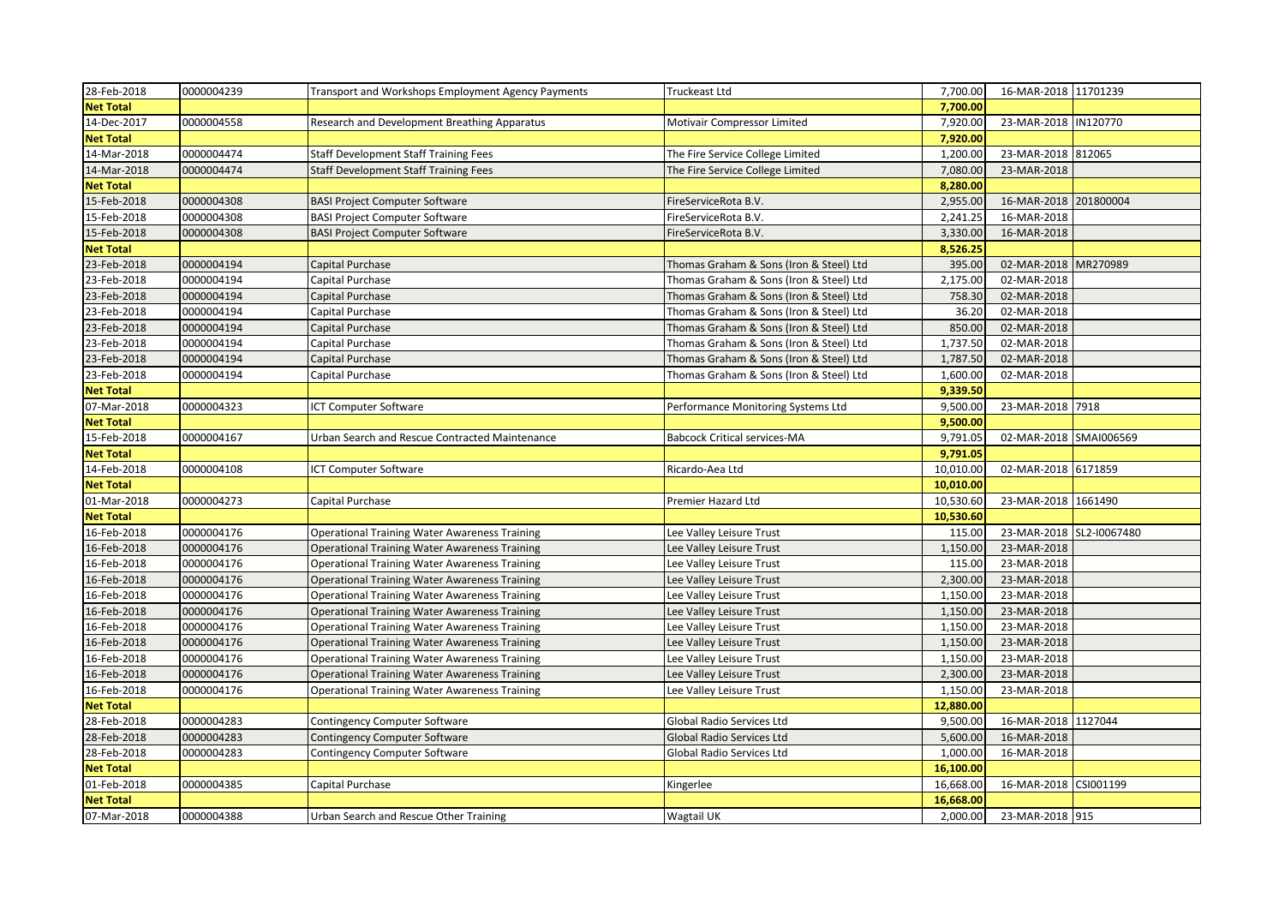| 28-Feb-2018      | 0000004239 | Transport and Workshops Employment Agency Payments   | <b>Truckeast Ltd</b>                    | 7,700.00  | 16-MAR-2018 11701239     |           |
|------------------|------------|------------------------------------------------------|-----------------------------------------|-----------|--------------------------|-----------|
| <b>Net Total</b> |            |                                                      |                                         | 7,700.00  |                          |           |
| 14-Dec-2017      | 0000004558 | Research and Development Breathing Apparatus         | Motivair Compressor Limited             | 7,920.00  | 23-MAR-2018 IN120770     |           |
| <b>Net Total</b> |            |                                                      |                                         | 7,920.00  |                          |           |
| 14-Mar-2018      | 0000004474 | <b>Staff Development Staff Training Fees</b>         | The Fire Service College Limited        | 1,200.00  | 23-MAR-2018 812065       |           |
| 14-Mar-2018      | 0000004474 | <b>Staff Development Staff Training Fees</b>         | The Fire Service College Limited        | 7,080.00  | 23-MAR-2018              |           |
| <b>Net Total</b> |            |                                                      |                                         | 8,280.00  |                          |           |
| 15-Feb-2018      | 0000004308 | <b>BASI Project Computer Software</b>                | FireServiceRota B.V.                    | 2,955.00  | 16-MAR-2018              | 201800004 |
| 15-Feb-2018      | 0000004308 | <b>BASI Project Computer Software</b>                | FireServiceRota B.V.                    | 2,241.25  | 16-MAR-2018              |           |
| 15-Feb-2018      | 0000004308 | <b>BASI Project Computer Software</b>                | FireServiceRota B.V.                    | 3,330.00  | 16-MAR-2018              |           |
| <b>Net Total</b> |            |                                                      |                                         | 8,526.25  |                          |           |
| 23-Feb-2018      | 0000004194 | Capital Purchase                                     | Thomas Graham & Sons (Iron & Steel) Ltd | 395.00    | 02-MAR-2018 MR270989     |           |
| 23-Feb-2018      | 0000004194 | Capital Purchase                                     | Thomas Graham & Sons (Iron & Steel) Ltd | 2,175.00  | 02-MAR-2018              |           |
| 23-Feb-2018      | 0000004194 | Capital Purchase                                     | Thomas Graham & Sons (Iron & Steel) Ltd | 758.30    | 02-MAR-2018              |           |
| 23-Feb-2018      | 0000004194 | Capital Purchase                                     | Thomas Graham & Sons (Iron & Steel) Ltd | 36.20     | 02-MAR-2018              |           |
| 23-Feb-2018      | 0000004194 | Capital Purchase                                     | Thomas Graham & Sons (Iron & Steel) Ltd | 850.00    | 02-MAR-2018              |           |
| 23-Feb-2018      | 0000004194 | Capital Purchase                                     | Thomas Graham & Sons (Iron & Steel) Ltd | 1,737.50  | 02-MAR-2018              |           |
| 23-Feb-2018      | 0000004194 | Capital Purchase                                     | Thomas Graham & Sons (Iron & Steel) Ltd | 1,787.50  | 02-MAR-2018              |           |
| 23-Feb-2018      | 0000004194 | Capital Purchase                                     | Thomas Graham & Sons (Iron & Steel) Ltd | 1,600.00  | 02-MAR-2018              |           |
| <b>Net Total</b> |            |                                                      |                                         | 9,339.50  |                          |           |
| 07-Mar-2018      | 0000004323 | ICT Computer Software                                | Performance Monitoring Systems Ltd      | 9,500.00  | 23-MAR-2018 7918         |           |
| <b>Net Total</b> |            |                                                      |                                         | 9,500.00  |                          |           |
| 15-Feb-2018      | 0000004167 | Urban Search and Rescue Contracted Maintenance       | <b>Babcock Critical services-MA</b>     | 9,791.05  | 02-MAR-2018 SMAI006569   |           |
| <b>Net Total</b> |            |                                                      |                                         | 9,791.05  |                          |           |
| 14-Feb-2018      | 0000004108 | ICT Computer Software                                | Ricardo-Aea Ltd                         | 10,010.00 | 02-MAR-2018 6171859      |           |
| <b>Net Total</b> |            |                                                      |                                         | 10,010.00 |                          |           |
| 01-Mar-2018      | 0000004273 | Capital Purchase                                     | Premier Hazard Ltd                      | 10,530.60 | 23-MAR-2018 1661490      |           |
| <b>Net Total</b> |            |                                                      |                                         | 10,530.60 |                          |           |
| 16-Feb-2018      | 0000004176 | <b>Operational Training Water Awareness Training</b> | Lee Valley Leisure Trust                | 115.00    | 23-MAR-2018 SL2-I0067480 |           |
| 16-Feb-2018      | 0000004176 | <b>Operational Training Water Awareness Training</b> | Lee Valley Leisure Trust                | 1,150.00  | 23-MAR-2018              |           |
| 16-Feb-2018      | 0000004176 | <b>Operational Training Water Awareness Training</b> | Lee Valley Leisure Trust                | 115.00    | 23-MAR-2018              |           |
| 16-Feb-2018      | 0000004176 | <b>Operational Training Water Awareness Training</b> | Lee Valley Leisure Trust                | 2,300.00  | 23-MAR-2018              |           |
| 16-Feb-2018      | 0000004176 | <b>Operational Training Water Awareness Training</b> | Lee Valley Leisure Trust                | 1,150.00  | 23-MAR-2018              |           |
| 16-Feb-2018      | 0000004176 | <b>Operational Training Water Awareness Training</b> | Lee Valley Leisure Trust                | 1,150.00  | 23-MAR-2018              |           |
| 16-Feb-2018      | 0000004176 | <b>Operational Training Water Awareness Training</b> | Lee Valley Leisure Trust                | 1,150.00  | 23-MAR-2018              |           |
| 16-Feb-2018      | 0000004176 | <b>Operational Training Water Awareness Training</b> | Lee Valley Leisure Trust                | 1,150.00  | 23-MAR-2018              |           |
| 16-Feb-2018      | 0000004176 | <b>Operational Training Water Awareness Training</b> | Lee Valley Leisure Trust                | 1,150.00  | 23-MAR-2018              |           |
| 16-Feb-2018      | 0000004176 | <b>Operational Training Water Awareness Training</b> | Lee Valley Leisure Trust                | 2,300.00  | 23-MAR-2018              |           |
| 16-Feb-2018      | 0000004176 | <b>Operational Training Water Awareness Training</b> | Lee Valley Leisure Trust                | 1,150.00  | 23-MAR-2018              |           |
| <b>Net Total</b> |            |                                                      |                                         | 12,880.00 |                          |           |
| 28-Feb-2018      | 0000004283 | Contingency Computer Software                        | Global Radio Services Ltd               | 9,500.00  | 16-MAR-2018              | 1127044   |
| 28-Feb-2018      | 0000004283 | <b>Contingency Computer Software</b>                 | Global Radio Services Ltd               | 5,600.00  | 16-MAR-2018              |           |
| 28-Feb-2018      | 0000004283 | Contingency Computer Software                        | Global Radio Services Ltd               | 1,000.00  | 16-MAR-2018              |           |
| <b>Net Total</b> |            |                                                      |                                         | 16,100.00 |                          |           |
| 01-Feb-2018      | 0000004385 | Capital Purchase                                     | Kingerlee                               | 16,668.00 | 16-MAR-2018 CSI001199    |           |
| <b>Net Total</b> |            |                                                      |                                         | 16,668.00 |                          |           |
| 07-Mar-2018      | 0000004388 | Urban Search and Rescue Other Training               | Wagtail UK                              | 2,000.00  | 23-MAR-2018 915          |           |